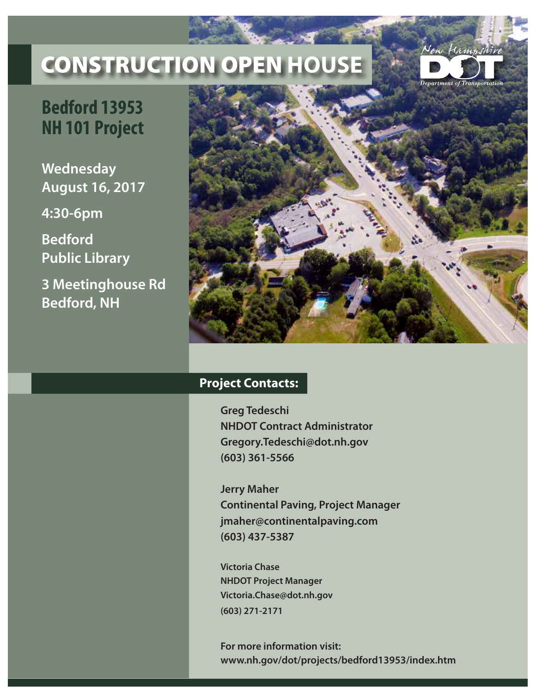## CONSTRUCTION OPEN **HOUSE**



## **Bedford 13953 NH 101 Project**

**Wednesday August 16, 2017**

**4:30-6pm**

**Bedford Public Library**

**3 Meetinghouse Rd Bedford, NH**



## **Project Contacts:**

**Greg Tedeschi NHDOT Contract Administrator Gregory.Tedeschi@dot.nh.gov (603) 361-5566**

**Jerry Maher Continental Paving, Project Manager jmaher@continentalpaving.com (603) 437-5387**

**Victoria Chase NHDOT Project Manager Victoria.Chase@dot.nh.gov (603) 271-2171**

**For more information visit: www.nh.gov/dot/projects/bedford13953/index.htm**